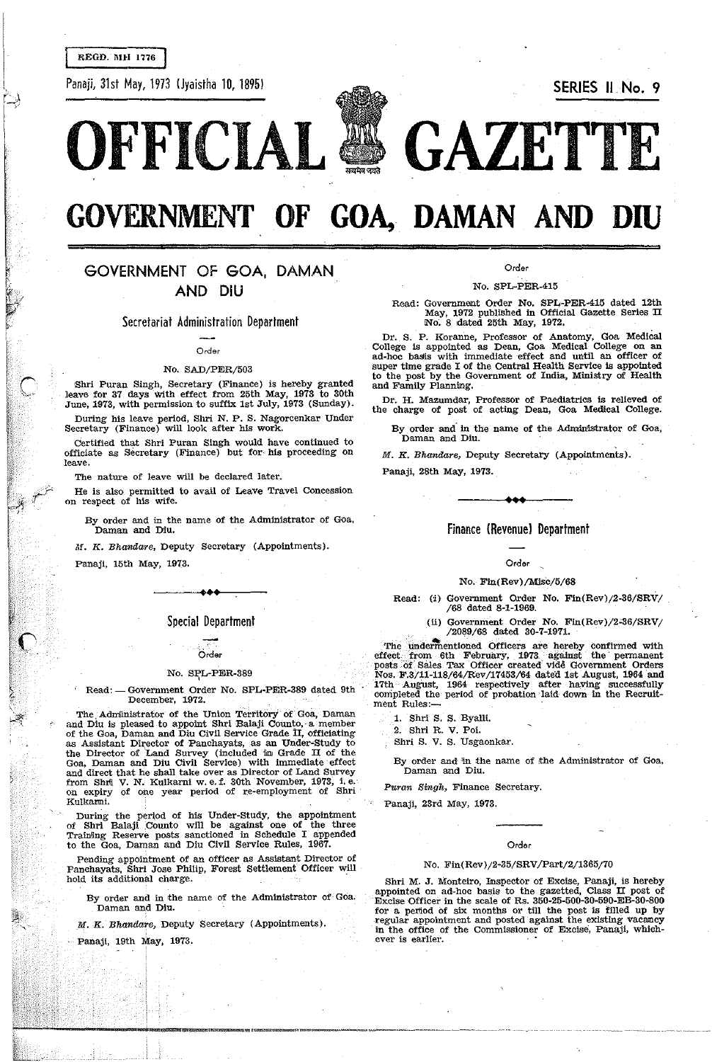REGD. MH 1776

Panaji, 31st May, 1973 IJyaistha 10, 1895) SERIES II No. 9





# **GOVERNMENT OF GOA, DAMAN AND**

## GOVERNMENT OF GOA, DAMAN AND DIU

Secretariat Administration Department

Order

#### No. SAD/PER/503

Shri Puran Singh, Secretary (Finance) is hereby granted leave for 37 days with effect from 25th May, 1973 to 30th June, 1973, with permission to suffix 1st July, 1973 (Sunday).

During his leave period, Shri. N. P. S. Nagorcenkar Under Secretary (Finance) will look after his work.

Certified that Shri Puran Singh would have continued to officiate as Secretary (Finance) but for his proceeding on leave.

The nature of leave will be declared later.

He is also permitted to avail of Leave Travel Concession on respect of his wife.

By order and in the name of the Administrator of Goa, Daman and Diu.

M. K. Bhandare, Deputy Secretary (Appointments).

Panaji, 15th May, 1973.

#### Special Department

.<br>\*\*\*

## Örder

#### No. SPL-PER-389

Read: - Government Order No. SPL-PER-389 dated 9th December, 1972.

The, Administrator of the Union Territory of' Goa, Daman and Diu is pleased to appoint Shri Balaji Counto, a member of the Goa, Daman and Diu Civil Service Grade IT, officialing as Assistant Director of Panchayats, as an Under-Study to the Director of 'Land Survey (included m Grade II of the Goa. Daman and Diu Civil Service) with immediate effect and direct that he shall take over as Director of Land Survey from Shrii V. N. Kulkarni w. e. f. 30th November, 1973, i. e.<br>on expiry of one year period of re-employment of Shri Kulkarni.

During the period of his Under-Study, the appointment of Shri Balaji Counto will be against one of the three Train!ing Reserve posts sanctioned in Schedule I appended to the Goa, Daman and Diu Civil Service Rules, 1967.

Pending appointment of an officer as Assistant Director of Panchayats. Shri Jose Philip, Forest Settlement Officer will hold its additional charge.

By order and in the name of the Administrator of· Goa. Daman and Diu.

M. K. Bhandare, Deputy Secretary (ApPointments).

Panaji, 19th May, 1973.

Order

#### No. SPL-PER-415

Read: Government Order No. SPL-PER-415 dated 12th May, 1972 publiShed In Official Gazette Series II No; 8 dated 25th May, 1972.

Dr. S. P. Koranne, Professor of Anatomy, Goa Medical College is appointed as Dean, Goa Medical College on an ad-hoc basis with immediate effect and until an officer of super time grade I of the Central Health Service is appointed to the post by the Government of India, Ministry of Health and Family Planning.

Dr. H. Mazumdar, Professor of Paediatrics is relieved of the charge of post of acting Dean, Goa Medical College.

By order and in the name of the Administrator of Goa, Daman and Diu.

M. K. Bhandare, Deputy Secretary (Appointments).

Panaji, 28th May, 1973.

Finance (Revenue) Department

• ••

#### Order

#### No. FIn(Rev)/Misc/5/68

Read: (i) Government Order No. Fin(Rev)/2-36/SRV/ /68 dated 8-1-1969.

> (ti) Government Order No. FIn(Rev)/2-36/SRV/ /2089/68 dated 30-7-1971.

The undermentioned Officers are hereby confirmed with effect from 6th February, 1973 against the permanent posts of Sales Tax Officer created Vide Government Orders Nos. F.3/11-118/64/Rev/17453/64 dated 1st August, 1964 and 17th August, 1964 respectively after haying successfully completed the period of probation laid- down in the Recruitment Rules:-

1. Shri S. S. Byalli.

2. Shri R. V. Poi.

Shri S. V. S. Usgaonkar.

By order and in the name of the Administrator of Goa. Daman and Diu.

Puran Singh, Finance Secretary.

Panaji, 23rd May, 1973.

#### Order

#### No. Fin(Rev)/2-35/SRV/Part/2/1365/70

Shri M. J. Monteiro, Imspector of Excise, Panaji, is hereby appointed on ad-hoc basis to the gazetted, Class II post of Excise Officer in the scale of Rs. 350-25-500-30-590-EB-30-800 for a period of six months or till the post is filled up by regular appointment and posted against the existing vacancy in the office of the Commissioner of Excise, Panaji, whichever is earlier.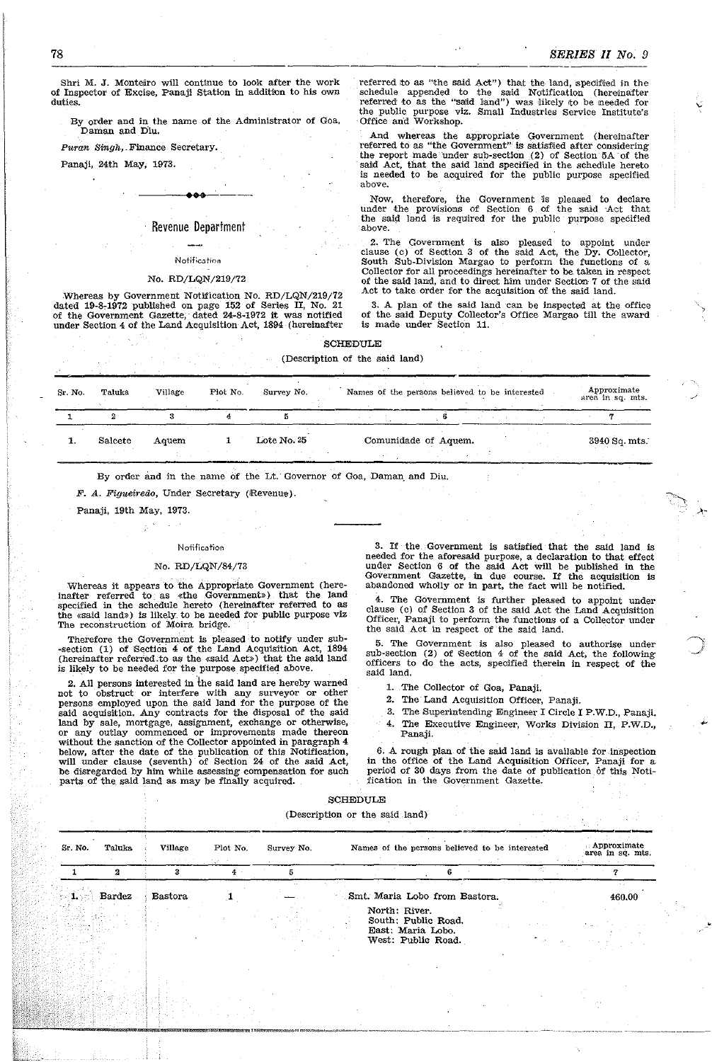,

Shri M. J. Monteiro will continue to look after the work of Inspector of Excise, Panaji Station in addition to his own duties.

By order and in the name of the Administrator of Goa, Daman and Diu.

Puran Singh, Finance Secretary.

Panaji, 24th May; 1973.

#### Revenue Department

#### Notification

#### No. RD/LQN/219/72

. Whereas by Government Notification No. RD/LQN/219/72 dated 19-8-1972 published on page 152 of Series II, No. 21 of the Government Gazette, dated 24-8-1972 it was notified under Section 4 of the Land Acquisition Act, 1894 (hereinafter

referred to as "the said Act") that the land, specified in the schedule appended to the said Notification (hereinafter referred to as the "salid land") was likely ito be needed for the public purpose viz. Small Industries Service Institute's Office and Workshop.

And whereas the appropriate Government (hereinafter referred to as "the Government" is satisfied after considering the report made under sub-section  $(2)$  of Section 5A of the said Act, that the said land specified in the schedule hereto is needed to be acquired for the public purpose specified above.

Now, therefore, the Government is pleased to declare under the provisions of Section 6 of the said Act that the said land is required for the public purpose specified above.

2. The Government is also pleased to appoint under clause (c) of Section 3 of the said Act. the Dy. Collector. South Sub-Division Margao to perform the functions of a Collector for all proceedings hereinafter to be. taken in respect of the said land, and to direct him under Section 7 of the said Act to take order for the acquisition of the said land.

3. A plan of the said land can be inspected at the office of the said Deputy Collector's Office Margao till the award is made under Section 11.

#### SCHEDULE

(Description of the said land)

| Sr. No. | Taluka  | Village | Plot No. | Survey No.  | Names of the persons believed to be interested | Approximate<br>area in sq. mts. |
|---------|---------|---------|----------|-------------|------------------------------------------------|---------------------------------|
|         |         |         |          |             |                                                |                                 |
|         | Salcete | Aquem   |          | Lote No. 25 | Comunidade of Aquem.                           | 3940 Sq. mts.                   |

By order and in the name of the Lt. Governor of Goa. Daman, and Diu.

F. A. Figueiredo, Under Secretary (Revenue).

Panaji, 19th May, 1973.

#### Notification

#### No. RD/LQN/84/73

Whereas it appears to the Appropriate Government (hereinafter referred to as «the Government») that the land specified in the schedule hereto (hereinafter referred to as the «said land») is likely\_ to be needed for public purpose viz the «said land») is likely to be needed for public purpose viz The reconstruction of Moira bridge.

Therefore the Government is pleased to notify under sub--section (1) of Section 4 of the Land Acquisition Act, 1894 (hereinafter referred.to as the «said Act») that the said land is likely to be needed for the purpose specified above.

2. All persons interested in the said land are hereby warned not to obstruct or interfere with any surveyor or other persons employed upon the said land for the purpose of the said acquisition. Any contracts for the disposal of the said land by sale, mortgage, assignment, exchange or otherwise, or any outlay commenced or improvements made thereon without the sanction of the Collector appointed in paragraph 4 below. after the date of the publication of this Notification, will under clause (seventh) of Section 24 of the said Act, be disregarded by him while assessing compensation for such parts of the said land as may be finally acquired.

3. If the. Government is satisfied that the said land is needed for the aforesaid purpose, a declaration to that effect under Section 6 of the said Act will be published in the Government Gazette, in due course. If the acquisition is abandoned wholly or in part, the fact will be notified.

4. The Government Is further pleased to appoint under clause (c) of Section 3 of the said Act the Land Acquisition Officer, Panaji to perform the functions of a Collector under the said Act in respect of the said land.

5. The Government is also pleased to authorise under sub-section (2) of Section 4 of the said Act, the following officers to do the acts, specified therein in respect of the said land.

- 1. The Collector of Goa, Panaji.
- 2. The· Land Acquisition Officer, Panaji.
- 3. The Superintending Engineer I Circle I P.W.D., Panaji.
- 4. The Executive Engineer, Works Division II, P.W.D., Panaji.

6. A rough plan of the said land is available for inspection in the office of the Land Acquisition Officer, Panaji for a period of 30 days from the date of publication of this Notification in the Government Gazette.

#### SCHEDULE

(Description or the said land)

| Sr. No.  | Taluka | Village        | Plot No. | Survey No. | Names of the persons believed to be interested |                                                                |            | : Approximate<br>area in sq. mts. |
|----------|--------|----------------|----------|------------|------------------------------------------------|----------------------------------------------------------------|------------|-----------------------------------|
|          |        |                | $4$ .    |            |                                                |                                                                |            |                                   |
| ye 1. So | Bardez | <b>Bastora</b> |          |            | Smt. Maria Lobo from Bastora.                  |                                                                |            | 460.00                            |
|          |        |                |          |            | North: River.                                  | South; Public Road.<br>East. Maria Lobo.<br>West: Public Road. | All Police |                                   |
|          |        |                |          |            |                                                |                                                                |            |                                   |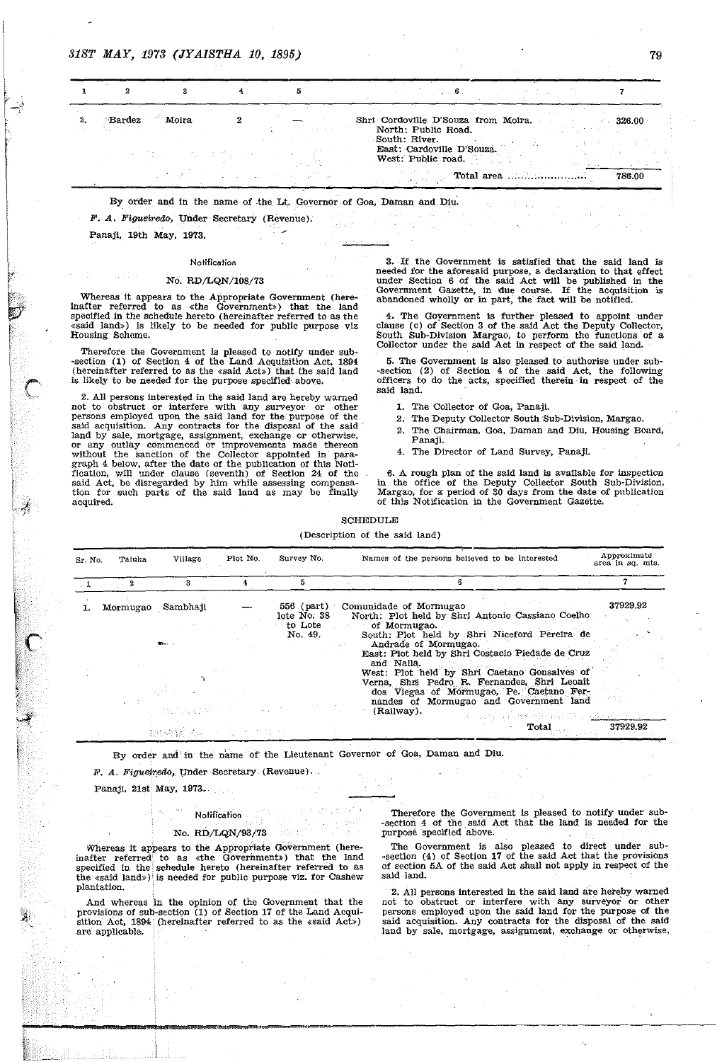| Bardez<br>Andreas Control | Moira         |  | Shri Cordoville D'Souza from Moira.<br>326.00<br>North: Public Road.<br>and the state of the party<br>South: River. |
|---------------------------|---------------|--|---------------------------------------------------------------------------------------------------------------------|
|                           | かいしゃ しょうしょうせい |  | East: Cardoville D'Souza.<br>West: Public road.                                                                     |
|                           |               |  | Total area<br>786.00                                                                                                |

By order and in the name of the Lt. Governor of Goa, Daman and Diu.

F. A. Figueiredo, Under Secretary (Revenue).

Panaj!, 19th May, 1973.

#### Notification

#### No. *RD/LQN!108/73*

Whereas it appears to the Appropriate Government (hereinafter referred to as «the Government» ) that the land specified.in the schedule hereto (hereinafter referred to as the «said land») is likely to be needed for public purpose viz Housing Scheme. .

Therefore the Government is pleased to notify under sub- -section (1) of Section 4 of the Land Acquisition Act, 1894 (hereinafter referred to as the «said Act») that the said land is likely to be needed for the purpose specified above.

2. All persons interested in the said laud are hereby warned not to obstruct or interfere with any surveyor or other persons employed upon the said land for the. purpose of the said acquisition. Any contracts for the disposal of the said  $\degree$ land by sale, mortgage, assignment, exchange or otherwise, or any outlay commenced or improvements made thereon without the sanction of the Collector appotnted in paragraph 4 below, after the date of the publication of this Notification, will under clause (seventh) of Section 24 of the said Act, be disregarded by him while assessing compensa-tion for such parts of the said land as may be finally acquired.

3. If the Government is satisfied that the said land is needed for the aforesaid purpose, a declaration to that effect under Section 6 of the said Act will be published in the Government Gazette, in due course. If the acquisition is abandoned wholly or in part, the' fact will be notified.

4. The Goyernment is further pleased to appoint under clause (c) of Section 3 of the said Act the Deputy Collector. South Sub-Division Margao, to perform the functions of a Collector under the said Act in respect of the said land.

5. The Government is also pleased to authorise under sub- -section (2) of Section 4 of the said Act, the following officers to do the acts, specified therein. in respect of the said land.

- 1. The Collector of Goa, Panaji.
- 2. The Deputy Collector South Sub-Division, Margao.
- 2. The Chairman, Goa, Darnan and Diu, Housing Board, Panaji.
- 4. The Director of Land Survey, Panaji.

6. A rough plan of the said land is available for inspection in the office of the Deputy CoIlector south Sub-Division, Margao, for a: period of 30 days from the date of publication of this Notification in the Government Gazette.

#### SCHEDULE

(Description of the said land)

| Sr. No. | Taluka    | Village                              | Plot No. | Survey No.                                      | Names of the persons believed to be interested                                                                                                                                                                                                                                                                                                                                                                                          |                                                                                                                                                                                                                                | Approximate<br>area in sq. mts. |
|---------|-----------|--------------------------------------|----------|-------------------------------------------------|-----------------------------------------------------------------------------------------------------------------------------------------------------------------------------------------------------------------------------------------------------------------------------------------------------------------------------------------------------------------------------------------------------------------------------------------|--------------------------------------------------------------------------------------------------------------------------------------------------------------------------------------------------------------------------------|---------------------------------|
|         | $\cdot$ 2 | 3                                    |          |                                                 |                                                                                                                                                                                                                                                                                                                                                                                                                                         |                                                                                                                                                                                                                                |                                 |
|         |           | Mormugao Sambhaji<br>そのこと こくさ ネット・スト |          | 556 (part)<br>lote No. 38<br>to Lote<br>No. 49. | Comunidade of Mormugao<br>North: Plot held by Shri Antonio Cassiano Coelho<br>of Mormugao.<br>South: Plot held by Shri Niceford Pereira de<br>Andrade of Mormugao.<br>East: Plot held by Shri Costacio Piedade de Cruz<br>and Nalla.<br>West: Plot held by Shri Caetano Gonsalves of<br>Verna, Shri Pedro R. Fernandes, Shri Leonit<br>dos Viegas of Mormugao, Pe. Caetano Fer-<br>nandes of Mormugao and Government land<br>(Railway). | Research of the second in the second state of the second state of the second state of the second state of the second state of the second state of the second state of the second state of the second state of the second state | 37929.92                        |
|         |           | 2013年4月20日 おおし トリーン アール・コール          |          |                                                 |                                                                                                                                                                                                                                                                                                                                                                                                                                         | Total                                                                                                                                                                                                                          | 37929.92                        |

By order and in the name of the Lieutenant Governor of Goa, Daman and Diu.

#### $F. A. Figure, in theorem 1.1.$

Panaji, 21st May, 1973.

### Notification No. RD/LQN/93/73

Whereas it appears to the Appropriate Government (hereinafter referred to as «the Government») that the land specified in the schedule hereto (hereinafter referred to as the «said land») is needed for public purpose viz. for Cashew plantation.

And whereas in the opinion of the Government that the provisions of sub-section (1) of Section 17 of the Land Acquisltion' Act, 1894 (hereinafter referred to as the «said Act») are applicable.

Therefore the Government is pleased to notify under sub--section 4 of the said Act that the land is needed for the purpose specified above.

The Government is also pleased to direct under sub-section (4) of Section 17 of the said Act that the provisions of section 5A of the said Act shall not apply in respect of the sald land.

2. AU persons interested in the said land are hereby warned not to obstruct or interfere with any surveyor' or other persons employed upon the said land for the purpose of the said acquisition. Any contracts for the disposal of the said land by sale, mortgage, assignment, exchange or otherwise,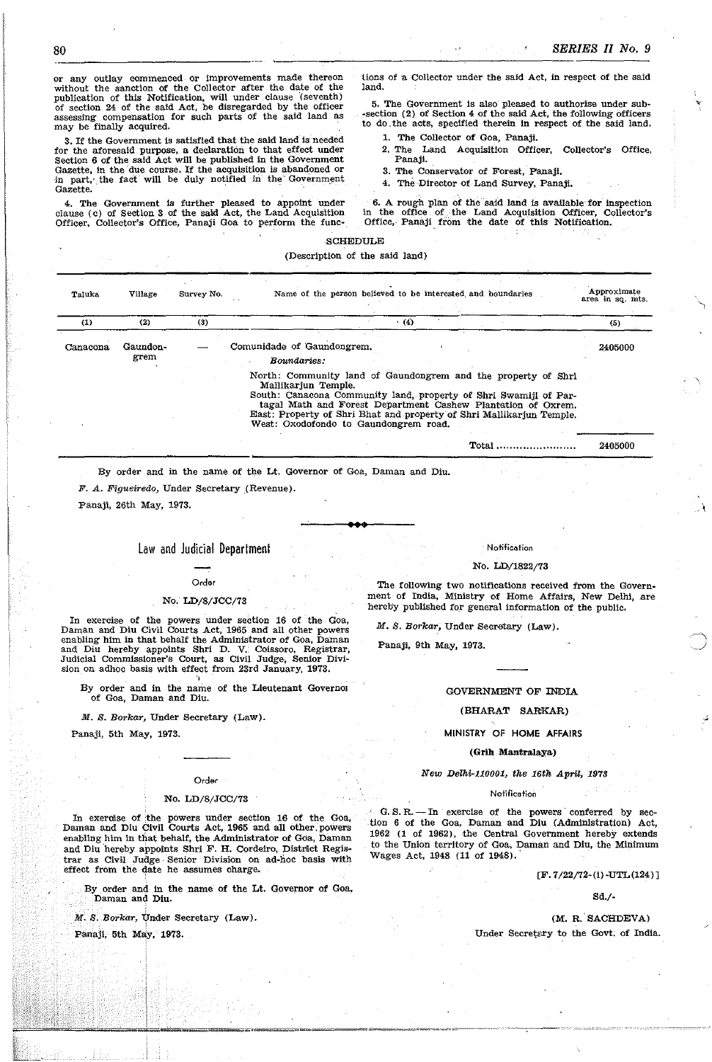or any outlay commenced or improvements made thereon without the sanction of the Collector after the date of the publication of this Notification, will under clause '(seventh) of section 24 of the said Act. be disregarded by the officer assessing compensation for such parts of the said land as may be finally acquired.

3. If the Government is satisfied that the said land is needed for the aforesaid purpose, a declaration to that effect under Section 6 of the said Act will be published in the Government Gazette, in the due course. If the acquisition is abandoned or in part, the fact will be duly notified in the Government Gazette.

4. The Government Is further pleased to appoint under clause (c) of Section 3 of the said Act, the Land Acquisition Officer. Collector's Office, Panaji Goa to perform the func~ tions of a Collector under the said Act, in respect of the said land.

5. The Government is also pleased to authorise under sub--section (2) of Section 4 of the said Act, the following officers to do. the acts, specified therein in respect of the said land.

- 1. The Collector of Goa, Panaji.
- 2. The Land Acquisition Officer, Collector's Office, Panaji.
- 3. The Conservator of Forest, panaji.
- 4. The Director of Land Survey, Panaji.

6. A rough plan of the said land is available' for inspection in the office of the Land Acquisition Officer, Collector's Office., Panaji, from the date of this Notifioation.

#### SCHEDULE

#### (Description of the said land)

| Taluka   | Village          | Survey No. | Name of the person believed to be interested and boundaries                                                                                                                                                                                                                                                                               | Approximate<br>area in sq. mts. |
|----------|------------------|------------|-------------------------------------------------------------------------------------------------------------------------------------------------------------------------------------------------------------------------------------------------------------------------------------------------------------------------------------------|---------------------------------|
| (1)      | (2)              | (3)        | (4)                                                                                                                                                                                                                                                                                                                                       | (5)                             |
| Canacona | Gaundon-<br>grem |            | Comunidade of Gaundongrem.<br>Boundaries:                                                                                                                                                                                                                                                                                                 | 2405000                         |
|          |                  |            | North: Community land of Gaundongrem and the property of Shri<br>Mallikarjun Temple.<br>South: Canacona Community land, property of Shri Swamiji of Par-<br>tagal Math and Forest Department Cashew Plantation of Oxrem.<br>East: Property of Shri Bhat and property of Shri Mallikariun Temple.<br>West: Oxodofondo to Gaundongrem road. |                                 |
|          |                  |            |                                                                                                                                                                                                                                                                                                                                           | 2405000                         |

**•••** 

By order and in the name of the Lt. Governor of Goa. Daman and Diu.

F. A. Figueiredo, Under Secretary (Revenue).

Panaji, 26th May, 1973.

### Law and Judicial Department

### Order

#### No. LD/8/JCC/73

In exercise of the powers under section 16 of the Goa, Daman and Diu Civil Courts Act, 1965 and all other powers enabling him in that behalf the Administrator of Goa, Daman and Diu hereby appoints Shri D. V. Coissoro. Registrar, Judicial Commissioner's Court, as Civil Judge, Senior Division on adhoc basis with effect from 23rd January, 1973.

By order and in the name of the Lieutenant Governol of Goa, Daman and Diu.

M. S. Borkar, Under Secretary (Law).

Panaji, 5th May, 1973.

#### Order

#### No. LD/8/JCC/73

In exerdise of the powers under section 16 of the Goa, Daman and Diu Civil Courts Act, 1965 and all other, powers enabling him in that behalf, the Administrator of Goa, Daman and Diu hereby appoints Shri F. H. Cordeiro, District Registrar as Civil Judge Senior Division on ad-hoc basis with effect from the date he assumes charge.

By order and in the name of the Lt. Governor of Goa, Daman and Diu.

 $M.$  *S. Borkar, Under Secretary (Law).* 

Pamajl, 5th May, 1973.

### Notification

#### No. LD/1822/73

The following two notifications received from the Government of India, Ministry of Home Affairs, New Delhi, are hereby published for general information of the public.

M. S. Borkar, Under Secretary (Law).

Panaji, 9th May, 1973.

#### GOVERNMENT OF INDIA

#### (BHARAT SARKAR)

#### MINISTRY OF HOME AFFAIRS

#### (Grih Mantralaya)

#### New Delhi-1100Ql, the 16th April, 1973

#### Notification

G. S. R. - In exercise of the powers conferred by section 6 of the Goa, Daman and Diu (Administration) Act, 1962 (1 of 1962), the Central Government hereby extends to the Union territory of Goa, Daman and Diu, the Minimum Wages Act, 1948 (11 of 1948).

#### [F. 7/22/72-(1) ·UTL(124) J

 $\epsilon$ 

#### Sd./-

(M. R. SACHDEVA) Under Secretary to the Govt. of India.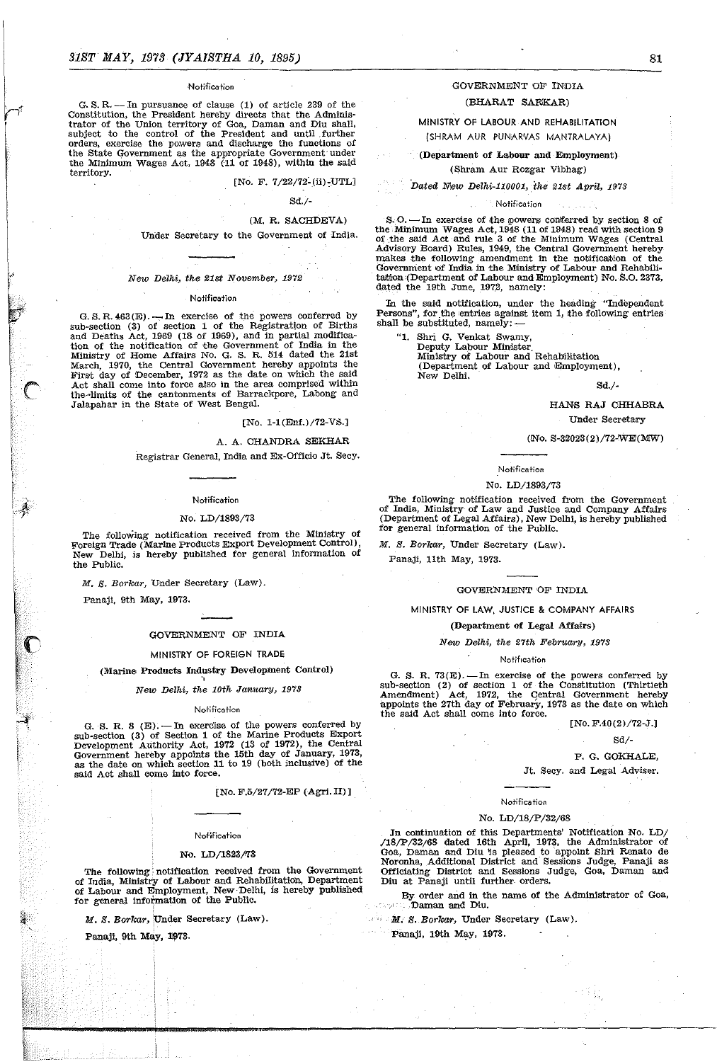#### **Notification**

G. S. R. - In pursuance of clause (1) of article 239 of the Constitution, the President hereby directs that the Administrator of the Union territory of Goa, Daman and Diu shall, subject to the control of the President and until .further orders. exercise the powers and discharge the functions of the State Government as the appropriate Government under the Minimum Wages Act, 1948 (11 of 1948), within the said territory.

 $[No. F. 7/22/72-(ii)-UTL]$ 

#### Sd./-

### (M. R. SACHDEVA)

Under Secretary to the Government of India.

#### New Delhi, the 21st November, 1972

#### Notification

G. S. R.  $463(E)$ . --In exercise of the powers conferred by sub-section (3) of section 1 of the Registration of Births and Deaths Act, 1969 (18 of 1969), and in partial modification of the notification of the Government of India in the Ministry of Home Affairs No. G. S. R. 514 dated the 21st March, 1970, the Central Government hereby appoints the First day of December, 1972 as the date on which the said Act shall come into force also in the area comprised within the-'limits of the cantonments of Barrackpore, Labong and Jalapahar in the State of west Bengal.

[No. 1-1(Enf.)/72-VS.]

#### A. A. CHANDRA SEKHAR

Registrar General, India and Ex-Officio Jt. Secy.

#### Notification

#### No. LD/1893/73

The following notification received from the Ministry of Foreign Trade (Marine products Export Development Control), New Delhi, is hereby published for general information of the Public.

M. S. Borkar, Under Secretary (Law).

Panaji, 9th May, 1973.

:; I;·

#### GOVERNMENT OF INDIA

#### MINISTRY OF FOREIGN TRADE

(Marine Products Industry Development Control)

"

New Delhi, the 10th January, 1973

#### Notification

G. S. R. 8  $(E)$ . - In exercise of the powers conferred by sub-section (3) of Section 1 of the Marine Products Export Development Authority Act, 1972 (13 of 1972), the Central Government hereby appoints the 15th day of January, 1973, as the date on which section 11 to 19 (both inclusive) of the said Act shall come into force.

[No. F.5/27/72-EP (Agri. II)]

### Notification

### No. LD/1823/73

The following' notification received. from the Government of India, Ministry of Labour and RehabiIitatioo, Department of Labour and Employment, New· Delhi, is hereby published for general information of the Public.

M. S. Borkar, Under Secretary (Law).

।<br>|<br>|

Panaji, 9th May, 1973.

 $~\ddot{}$ 

### GOVERNMENT OF INDIA

### (BHARAT SARKAR)

MINISTRY OF LABOUR AND REHABILITATION (SHRAM AUR PUNARVAS MANTRALAYAj

(Department of Labour and Employment) (Shram Aur Rozgar Vibhag)

Dated New Delhi-110001, the 21st April, 1973

#### Notification

S.O. - In exercise of the powers conferred by section 8 of the Minimum Wages Act,  $1948$  (11 of 1948) read with section 9 of .the said Act ·and rule 3 of the Minimum Wages (Central Advisory Board) Rules, 1949, the Central Government hereby makes the following amendment in the notification of Government of India in the Ministry of Labour and Rehabilitation (Department of Labour and Employment) No. S.O. 2373, dated the 19th June, 1972, namely:

In the said notification, under the heading "Independent Persons", for the entries against item 1, the following entries shall be substituted, namely:  $-$ 

"1. Shri G. Venkat Swamy, Deputy Labour Minister, Ministry of Labour and Rehab1Htation (Department of Labour and Employment), New Delhi.

Sd./-

#### HANS RAJ CHHABRA Under Secretary

### (!No. S.S2023(2)/72-'WE(MW)

#### Notification

#### No. LD/1893/73

The following notification received from the Government of India, Ministry- of Law and Justice and Company Affairs (Department of Legal Affairs), New Delhi, is hereby published for general information of the Public.

M. B. Borkar, Under Secretary (Law).

Panaji, 11th May, 1973.

#### GOVERNMENT OF INDIA

MINISTRY OF LAW, JUSTICE & COMPANY AFFAIRS

#### (Department of Legal Affairs)

New Delhi, the 27th February, 1973

#### Notification

G. S. R. 73 $(E)$ . -In exercise of the powers conferred by sub-section (2) of section 1 of the Constitution (Thirtieth Amendment) Act, 1972, the Central Government hereby appoints the 27th day of February, 1973 as the date on which the said Act shall come into force.

 $[No. F.40(2)/72-J.]$ 

#### Sd/-

P. G. GOKHALE,

Jt. Secy. and Legal Adviser.

#### Notification

#### No. LD/18/P/32/68

In continuation of this Departments' Notification No. LD/ /18jP /32/68 dated 16th April, 1973, tbe Administrator of Goa, Daman and Diu is pleased to appoint Shri Renato de Noronha, Additional District and· Sessions Judge, Panaji as Officiating District and Sessions Judge, Goa, Daman and Diu at Panaji until further orders.

By order and in the name of the Administrator of Goa, **Daman** and Diu.

 $\mathbb{R}^n$  M. S. Borkar, Under Secretary (Law).

Panaji, 19th May, 1973.